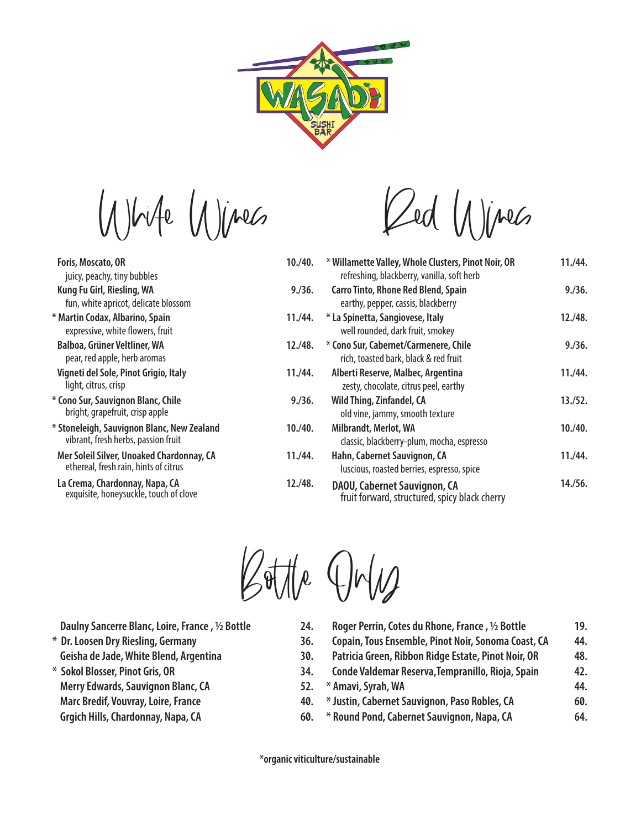

White Wines

| Foris, Moscato, OR                                                                 | 10./40. |
|------------------------------------------------------------------------------------|---------|
| juicy, peachy, tiny bubbles                                                        |         |
| Kung Fu Girl, Riesling, WA                                                         | 9./36.  |
| fun, white apricot, delicate blossom                                               |         |
| * Martin Codax, Albarino, Spain<br>expressive, white flowers, fruit                | 11./44. |
| Balboa, Grüner Veltliner, WA<br>pear, red apple, herb aromas                       | 12./48. |
| Vigneti del Sole, Pinot Grigio, Italy<br>light, citrus, crisp                      | 11./44. |
| * Cono Sur, Sauvignon Blanc, Chile<br>bright, grapefruit, crisp apple              | 9./36.  |
| * Stoneleigh, Sauvignon Blanc, New Zealand<br>vibrant, fresh herbs, passion fruit  | 10./40. |
| Mer Soleil Silver, Unoaked Chardonnay, CA<br>ethereal, fresh rain, hints of citrus | 11./44. |
| La Crema, Chardonnay, Napa, CA<br>exquisite, honeysuckle, touch of clove           | 12./48. |
|                                                                                    |         |

Red Wines

|    | * Willamette Valley, Whole Clusters, Pinot Noir, OR<br>refreshing, blackberry, vanilla, soft herb | 11./44. |
|----|---------------------------------------------------------------------------------------------------|---------|
|    | <b>Carro Tinto, Rhone Red Blend, Spain</b><br>earthy, pepper, cassis, blackberry                  | 9./36.  |
|    | * La Spinetta, Sangiovese, Italy<br>well rounded, dark fruit, smokey                              | 12./48. |
| ١. | * Cono Sur, Cabernet/Carmenere, Chile<br>rich, toasted bark, black & red fruit                    | 9./36.  |
|    | Alberti Reserve, Malbec, Argentina<br>zesty, chocolate, citrus peel, earthy                       | 11./44. |
|    | Wild Thing, Zinfandel, CA<br>old vine, jammy, smooth texture                                      | 13./52. |
|    | Milbrandt, Merlot, WA<br>classic, blackberry-plum, mocha, espresso                                | 10./40. |
|    | Hahn, Cabernet Sauvignon, CA<br>luscious, roasted berries, espresso, spice                        | 11./44. |
| ۱. | DAOU, Cabernet Sauvignon, CA<br>fruit forward, structured, spicy black cherry                     | 14./56. |



 **Daulny Sancerre Blanc, Loire, France , ½ Bottle**

- **\* Dr. Loosen Dry Riesling, Germany**
- **Geisha de Jade, White Blend, Argentina**
- **\* Sokol Blosser, Pinot Gris, OR**
- **Merry Edwards, Sauvignon Blanc, CA**
- **Marc Bredif, Vouvray, Loire, France**
- **Grgich Hills, Chardonnay, Napa, CA**

| 24. | Roger Perrin, Cotes du Rhone, France, 1/2 Bottle    | 19. |
|-----|-----------------------------------------------------|-----|
| 36. | Copain, Tous Ensemble, Pinot Noir, Sonoma Coast, CA | 44. |
| 30. | Patricia Green, Ribbon Ridge Estate, Pinot Noir, OR | 48. |
| 34. | Conde Valdemar Reserva, Tempranillo, Rioja, Spain   | 42. |
| 52. | * Amavi, Syrah, WA                                  | 44. |
| 40. | * Justin, Cabernet Sauvignon, Paso Robles, CA       | 60. |
| 60. | * Round Pond, Cabernet Sauvignon, Napa, CA          | 64. |
|     |                                                     |     |

 **\*organic viticulture/sustainable**